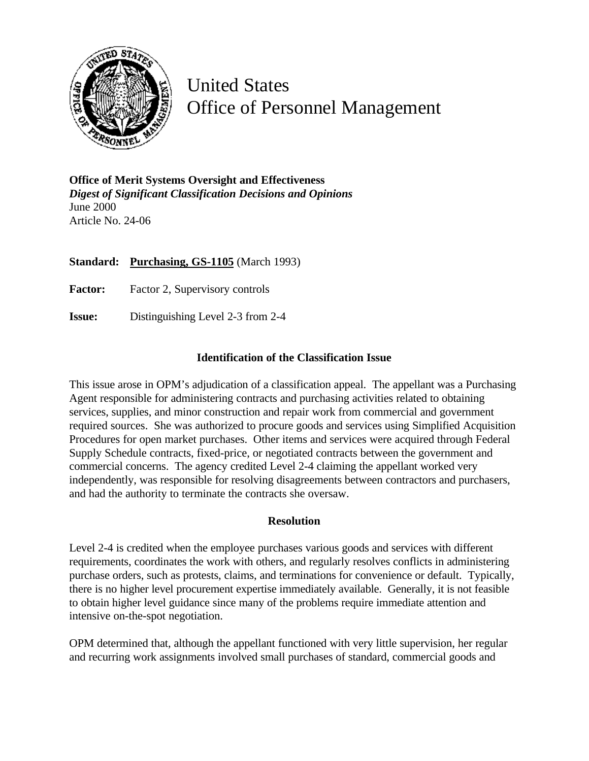

United States Office of Personnel Management

**Office of Merit Systems Oversight and Effectiveness** *Digest of Significant Classification Decisions and Opinions* June 2000 Article No. 24-06

**Standard: Purchasing, GS-1105** (March 1993)

**Factor:** Factor 2, Supervisory controls

**Issue:** Distinguishing Level 2-3 from 2-4

## **Identification of the Classification Issue**

This issue arose in OPM's adjudication of a classification appeal. The appellant was a Purchasing Agent responsible for administering contracts and purchasing activities related to obtaining services, supplies, and minor construction and repair work from commercial and government required sources. She was authorized to procure goods and services using Simplified Acquisition Procedures for open market purchases. Other items and services were acquired through Federal Supply Schedule contracts, fixed-price, or negotiated contracts between the government and commercial concerns. The agency credited Level 2-4 claiming the appellant worked very independently, was responsible for resolving disagreements between contractors and purchasers, and had the authority to terminate the contracts she oversaw.

## **Resolution**

Level 2-4 is credited when the employee purchases various goods and services with different requirements, coordinates the work with others, and regularly resolves conflicts in administering purchase orders, such as protests, claims, and terminations for convenience or default. Typically, there is no higher level procurement expertise immediately available. Generally, it is not feasible to obtain higher level guidance since many of the problems require immediate attention and intensive on-the-spot negotiation.

OPM determined that, although the appellant functioned with very little supervision, her regular and recurring work assignments involved small purchases of standard, commercial goods and